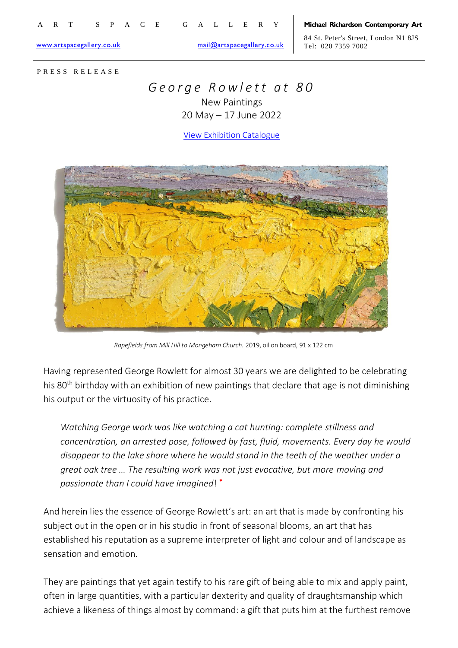[www.artspacegallery.co.uk](http://www.artspacegallery.co.uk/) [mail@artspacegallery.co.uk](mailto:mail@artspacegallery.co.uk)

84 St. Peter's Street, London N1 8JS Tel: 020 7359 7002

P R E S S R E L E A S E

## *G e o r g e R o w l e t t a t 8 0* New Paintings

20 May – 17 June 2022

[View Exhibition Catalogue](https://www.artspacegallery.co.uk/BOOKS/Rowlett2022/index.html)



*Rapefields from Mill Hill to Mongeham Church.* 2019, oil on board, 91 x 122 cm

Having represented George Rowlett for almost 30 years we are delighted to be celebrating his 80<sup>th</sup> birthday with an exhibition of new paintings that declare that age is not diminishing his output or the virtuosity of his practice.

*Watching George work was like watching a cat hunting: complete stillness and concentration, an arrested pose, followed by fast, fluid, movements. Every day he would disappear to the lake shore where he would stand in the teeth of the weather under a great oak tree … The resulting work was not just evocative, but more moving and passionate than I could have imagined*! \*

And herein lies the essence of George Rowlett's art: an art that is made by confronting his subject out in the open or in his studio in front of seasonal blooms, an art that has established his reputation as a supreme interpreter of light and colour and of landscape as sensation and emotion.

They are paintings that yet again testify to his rare gift of being able to mix and apply paint, often in large quantities, with a particular dexterity and quality of draughtsmanship which achieve a likeness of things almost by command: a gift that puts him at the furthest remove